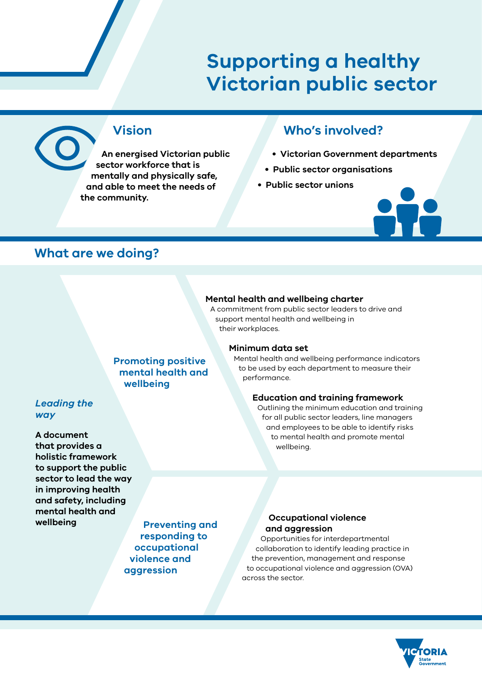# **Supporting a healthy Victorian public sector**

## **Vision**

**An energised Victorian public sector workforce that is mentally and physically safe, and able to meet the needs of the community.**

## **Who's involved?**

- **Victorian Government departments**
- **Public sector organisations**
- **Public sector unions**



## **What are we doing?**

#### **Mental health and wellbeing charter**

A commitment from public sector leaders to drive and support mental health and wellbeing in their workplaces.

#### **Minimum data set**

Mental health and wellbeing performance indicators to be used by each department to measure their performance.

#### **Education and training framework**

Outlining the minimum education and training for all public sector leaders, line managers and employees to be able to identify risks to mental health and promote mental wellbeing.

**Promoting positive mental health and wellbeing**

## *Leading the way*

**A document that provides a holistic framework to support the public sector to lead the way in improving health and safety, including mental health and wellbeing**

**Preventing and responding to occupational violence and aggression**

## **Occupational violence and aggression**

Opportunities for interdepartmental collaboration to identify leading practice in the prevention, management and response to occupational violence and aggression (OVA) across the sector.